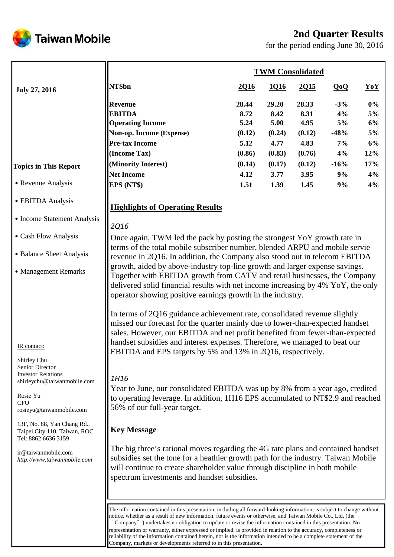# **2nd Quarter Results**

**Taiwan Mobile** 

for the period ending June 30, 2016

|                                                                                                                                   | <b>TWM Consolidated</b>                                                                                                                                                                                                                                                                                                                                                                                                                                                                                                                                                                           |        |        |        |        |       |  |
|-----------------------------------------------------------------------------------------------------------------------------------|---------------------------------------------------------------------------------------------------------------------------------------------------------------------------------------------------------------------------------------------------------------------------------------------------------------------------------------------------------------------------------------------------------------------------------------------------------------------------------------------------------------------------------------------------------------------------------------------------|--------|--------|--------|--------|-------|--|
| <b>July 27, 2016</b>                                                                                                              | NT\$bn                                                                                                                                                                                                                                                                                                                                                                                                                                                                                                                                                                                            | 2Q16   | 1016   | 2015   | QoQ    | YoY   |  |
|                                                                                                                                   | <b>Revenue</b>                                                                                                                                                                                                                                                                                                                                                                                                                                                                                                                                                                                    | 28.44  | 29.20  | 28.33  | $-3%$  | $0\%$ |  |
|                                                                                                                                   | <b>EBITDA</b>                                                                                                                                                                                                                                                                                                                                                                                                                                                                                                                                                                                     | 8.72   | 8.42   | 8.31   | 4%     | 5%    |  |
|                                                                                                                                   | <b>Operating Income</b>                                                                                                                                                                                                                                                                                                                                                                                                                                                                                                                                                                           | 5.24   | 5.00   | 4.95   | 5%     | 6%    |  |
|                                                                                                                                   | Non-op. Income (Expense)                                                                                                                                                                                                                                                                                                                                                                                                                                                                                                                                                                          | (0.12) | (0.24) | (0.12) | $-48%$ | 5%    |  |
|                                                                                                                                   | <b>Pre-tax Income</b>                                                                                                                                                                                                                                                                                                                                                                                                                                                                                                                                                                             | 5.12   | 4.77   | 4.83   | 7%     | 6%    |  |
|                                                                                                                                   | (Income Tax)                                                                                                                                                                                                                                                                                                                                                                                                                                                                                                                                                                                      | (0.86) | (0.83) | (0.76) | 4%     | 12%   |  |
| <b>Topics in This Report</b>                                                                                                      | (Minority Interest)                                                                                                                                                                                                                                                                                                                                                                                                                                                                                                                                                                               | (0.14) | (0.17) | (0.12) | $-16%$ | 17%   |  |
|                                                                                                                                   | <b>Net Income</b>                                                                                                                                                                                                                                                                                                                                                                                                                                                                                                                                                                                 | 4.12   | 3.77   | 3.95   | 9%     | 4%    |  |
| • Revenue Analysis                                                                                                                | EPS (NT\$)                                                                                                                                                                                                                                                                                                                                                                                                                                                                                                                                                                                        | 1.51   | 1.39   | 1.45   | 9%     | 4%    |  |
| • EBITDA Analysis                                                                                                                 | <b>Highlights of Operating Results</b>                                                                                                                                                                                                                                                                                                                                                                                                                                                                                                                                                            |        |        |        |        |       |  |
| • Income Statement Analysis                                                                                                       | <b>2Q16</b>                                                                                                                                                                                                                                                                                                                                                                                                                                                                                                                                                                                       |        |        |        |        |       |  |
| • Cash Flow Analysis                                                                                                              | Once again, TWM led the pack by posting the strongest YoY growth rate in                                                                                                                                                                                                                                                                                                                                                                                                                                                                                                                          |        |        |        |        |       |  |
| • Balance Sheet Analysis                                                                                                          | terms of the total mobile subscriber number, blended ARPU and mobile servie<br>revenue in 2Q16. In addition, the Company also stood out in telecom EBITDA                                                                                                                                                                                                                                                                                                                                                                                                                                         |        |        |        |        |       |  |
| • Management Remarks                                                                                                              | growth, aided by above-industry top-line growth and larger expense savings.<br>Together with EBITDA growth from CATV and retail businesses, the Company<br>delivered solid financial results with net income increasing by 4% YoY, the only<br>operator showing positive earnings growth in the industry.                                                                                                                                                                                                                                                                                         |        |        |        |        |       |  |
| IR contact:<br>Shirley Chu                                                                                                        | In terms of 2Q16 guidance achievement rate, consolidated revenue slightly<br>missed our forecast for the quarter mainly due to lower-than-expected handset<br>sales. However, our EBITDA and net profit benefited from fewer-than-expected<br>handset subsidies and interest expenses. Therefore, we managed to beat our<br>EBITDA and EPS targets by 5% and 13% in 2Q16, respectively.                                                                                                                                                                                                           |        |        |        |        |       |  |
| Senior Director<br><b>Investor Relations</b><br>shirleychu@taiwanmobile.com<br>Rosie Yu<br><b>CFO</b><br>rosieyu@taiwanmobile.com | 1H16<br>Year to June, our consolidated EBITDA was up by 8% from a year ago, credited<br>to operating leverage. In addition, 1H16 EPS accumulated to NT\$2.9 and reached<br>56% of our full-year target.                                                                                                                                                                                                                                                                                                                                                                                           |        |        |        |        |       |  |
| 13F, No. 88, Yan Chang Rd.,<br>Taipei City 110, Taiwan, ROC<br>Tel: 8862 6636 3159                                                | <b>Key Message</b>                                                                                                                                                                                                                                                                                                                                                                                                                                                                                                                                                                                |        |        |        |        |       |  |
| ir@taiwanmobile.com<br>http://www.taiwanmobile.com                                                                                | The big three's rational moves regarding the 4G rate plans and contained handset<br>subsidies set the tone for a heathier growth path for the industry. Taiwan Mobile<br>will continue to create shareholder value through discipline in both mobile<br>spectrum investments and handset subsidies.                                                                                                                                                                                                                                                                                               |        |        |        |        |       |  |
|                                                                                                                                   | The information contained in this presentation, including all forward-looking information, is subject to change without<br>notice, whether as a result of new information, future events or otherwise, and Taiwan Mobile Co., Ltd. (the<br>"Company" ) undertakes no obligation to update or revise the information contained in this presentation. No<br>representation or warranty, either expressed or implied, is provided in relation to the accuracy, completeness or<br>reliability of the information contained herein, nor is the information intended to be a complete statement of the |        |        |        |        |       |  |

Company, markets or developments referred to in this presentation.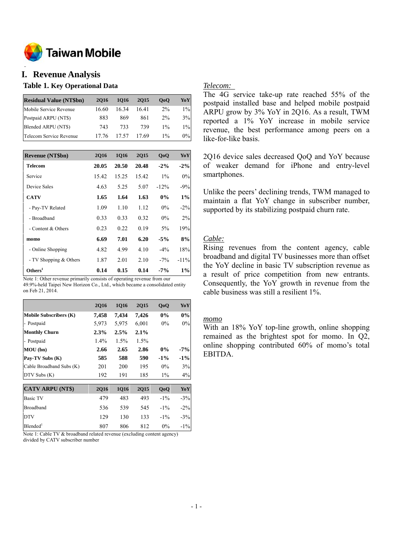

#### **o I. Revenue Analysis**

### **Table 1. Key Operational Data**

| <b>Residual Value (NT\$bn)</b> | 2016  | 1016  | 2015  | 0 <sub>0</sub> | YoY   |
|--------------------------------|-------|-------|-------|----------------|-------|
| Mobile Service Revenue         | 16.60 | 1634  | 1641  | $2\%$          | $1\%$ |
| Postpaid ARPU (NT\$)           | 883   | 869   | 861   | $2\%$          | 3%    |
| Blended ARPU (NT\$)            | 743   | 733   | 739   | $1\%$          | $1\%$ |
| Telecom Service Revenue        | 17.76 | 17.57 | 17.69 | $1\%$          | 0%    |

| <b>Revenue (NT\$bn)</b> | 2016  | 1Q16  | 2Q15  | Q <sub>o</sub> Q | YoY     |
|-------------------------|-------|-------|-------|------------------|---------|
| <b>Telecom</b>          | 20.05 | 20.50 | 20.48 | $-2\%$           | $-2\%$  |
| Service                 | 15.42 | 15.25 | 15.42 | $1\%$            | 0%      |
| Device Sales            | 4.63  | 5.25  | 5.07  | $-12%$           | $-9%$   |
| <b>CATV</b>             | 1.65  | 1.64  | 1.63  | $0\%$            | 1%      |
| - Pay-TV Related        | 1.09  | 1.10  | 1.12  | $0\%$            | $-2\%$  |
| - Broadband             | 0.33  | 0.33  | 0.32  | $0\%$            | 2%      |
| - Content & Others      | 0.23  | 0.22  | 0.19  | $5\%$            | 19%     |
| momo                    | 6.69  | 7.01  | 6.20  | $-5\%$           | 8%      |
| - Online Shopping       | 4.82  | 4.99  | 4.10  | $-4%$            | 18%     |
| - TV Shopping & Others  | 1.87  | 2.01  | 2.10  | $-7\%$           | $-11\%$ |
| Others <sup>1</sup>     | 0.14  | 0.15  | 0.14  | $-7\%$           | 1%      |

Note 1: Other revenue primarily consists of operating revenue from our 49.9%-held Taipei New Horizon Co., Ltd., which became a consolidated entity on Feb 21, 2014.

|                               | <b>2Q16</b> | <b>1Q16</b> | <b>2Q15</b> | QoQ    | YoY    |
|-------------------------------|-------------|-------------|-------------|--------|--------|
| <b>Mobile Subscribers (K)</b> | 7,458       | 7,434       | 7,426       | $0\%$  | 0%     |
| - Postpaid                    | 5,973       | 5,975       | 6,001       | $0\%$  | $0\%$  |
| <b>Monthly Churn</b>          | 2.3%        | 2.5%        | 2.1%        |        |        |
| - Postpaid                    | $1.4\%$     | $1.5\%$     | $1.5\%$     |        |        |
| MOU(bn)                       | 2.66        | 2.65        | 2.86        | $0\%$  | $-7\%$ |
| Pay-TV Subs (K)               | 585         | 588         | 590         | $-1\%$ | $-1\%$ |
| Cable Broadband Subs (K)      | 201         | 200         | 195         | $0\%$  | 3%     |
| DTV Subs (K)                  | 192         | 191         | 185         | $1\%$  | $4\%$  |
| <b>CATV ARPU (NT\$)</b>       | <b>2Q16</b> | <b>1Q16</b> | 2Q15        | QoQ    | YoY    |
| <b>Basic TV</b>               | 479         | 483         | 493         | $-1\%$ | $-3\%$ |
| Broadband                     | 536         | 539         | 545         | $-1\%$ | $-2\%$ |
| <b>DTV</b>                    | 129         | 130         | 133         | $-1\%$ | $-3\%$ |
| $B$ lended <sup>1</sup>       | 807         | 806         | 812         | $0\%$  | $-1\%$ |

Note 1: Cable TV & broadband related revenue (excluding content agency) divided by CATV subscriber number

### *Telecom:*

The 4G service take-up rate reached 55% of the postpaid installed base and helped mobile postpaid ARPU grow by 3% YoY in 2Q16. As a result, TWM reported a 1% YoY increase in mobile service revenue, the best performance among peers on a like-for-like basis.

2Q16 device sales decreased QoQ and YoY because of weaker demand for iPhone and entry-level smartphones.

Unlike the peers' declining trends, TWM managed to maintain a flat YoY change in subscriber number, supported by its stabilizing postpaid churn rate.

### *Cable:*

Rising revenues from the content agency, cable broadband and digital TV businesses more than offset the YoY decline in basic TV subscription revenue as a result of price competition from new entrants. Consequently, the YoY growth in revenue from the cable business was still a resilient 1%.

#### *momo*

With an 18% YoY top-line growth, online shopping remained as the brightest spot for momo. In Q2, online shopping contributed 60% of momo's total EBITDA.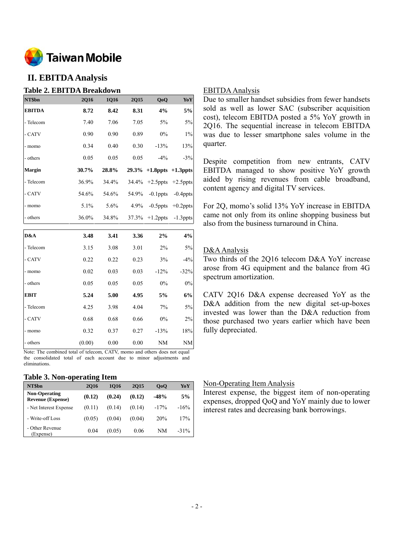

# **II. EBITDA Analysis**

# **Table 2. EBITDA Breakdown**

| NT\$bn        | <b>2Q16</b> | <b>1Q16</b> | 2Q15  | QoQ                        | YoY         |
|---------------|-------------|-------------|-------|----------------------------|-------------|
| <b>EBITDA</b> | 8.72        | 8.42        | 8.31  | 4%                         | 5%          |
| - Telecom     | 7.40        | 7.06        | 7.05  | $5\%$                      | 5%          |
| - CATV        | 0.90        | 0.90        | 0.89  | $0\%$                      | $1\%$       |
| - momo        | 0.34        | 0.40        | 0.30  | $-13%$                     | 13%         |
| - others      | 0.05        | 0.05        | 0.05  | $-4\%$                     | $-3%$       |
| <b>Margin</b> | 30.7%       | 28.8%       |       | $29.3\%$ +1.8ppts +1.3ppts |             |
| - Telecom     | 36.9%       | 34.4%       | 34.4% | $+2.5$ ppts                | $+2.5$ ppts |
| - CATV        | 54.6%       | 54.6%       | 54.9% | $-0.1$ ppts                | $-0.4$ ppts |
| - momo        | $5.1\%$     | $5.6\%$     | 4.9%  | $-0.5$ ppts                | $+0.2$ ppts |
| - others      | 36.0%       | 34.8%       |       | $37.3\% + 1.2 \text{ppts}$ | $-1.3$ ppts |
|               |             |             |       |                            |             |

| D&A         | 3.48   | 3.41 | 3.36 | 2%      | 4%     |
|-------------|--------|------|------|---------|--------|
| - Telecom   | 3.15   | 3.08 | 3.01 | $2\%$   | 5%     |
| - CATV      | 0.22   | 0.22 | 0.23 | 3%      | $-4%$  |
| - momo      | 0.02   | 0.03 | 0.03 | $-12\%$ | $-32%$ |
| - others    | 0.05   | 0.05 | 0.05 | $0\%$   | 0%     |
| <b>EBIT</b> | 5.24   | 5.00 | 4.95 | 5%      | 6%     |
| - Telecom   | 4.25   | 3.98 | 4.04 | 7%      | 5%     |
| - CATV      | 0.68   | 0.68 | 0.66 | $0\%$   | 2%     |
| - momo      | 0.32   | 0.37 | 0.27 | $-13%$  | 18%    |
| - others    | (0.00) | 0.00 | 0.00 | NM      | NM     |

Note: The combined total of telecom, CATV, momo and others does not equal the consolidated total of each account due to minor adjustments and eliminations.

#### **Table 3. Non-operating Item**

| NT\$bn                                           | <b>2016</b> | 1016   | <b>2015</b> | 0 <sub>0</sub> | YoY     |
|--------------------------------------------------|-------------|--------|-------------|----------------|---------|
| <b>Non-Operating</b><br><b>Revenue (Expense)</b> | (0.12)      | (0.24) | (0.12)      | -48%           | 5%      |
| - Net Interest Expense                           | (0.11)      | (0.14) | (0.14)      | $-17%$         | $-16%$  |
| - Write-off Loss                                 | (0.05)      | (0.04) | (0.04)      | 20%            | 17%     |
| - Other Revenue<br>(Expense)                     | 0.04        | (0.05) | 0.06        | NΜ             | $-31\%$ |

### EBITDA Analysis

Due to smaller handset subsidies from fewer handsets sold as well as lower SAC (subscriber acquisition cost), telecom EBITDA posted a 5% YoY growth in 2Q16. The sequential increase in telecom EBITDA was due to lesser smartphone sales volume in the quarter.

Despite competition from new entrants, CATV EBITDA managed to show positive YoY growth aided by rising revenues from cable broadband, content agency and digital TV services.

For 2Q, momo's solid 13% YoY increase in EBITDA came not only from its online shopping business but also from the business turnaround in China.

### D&A Analysis

Two thirds of the 2Q16 telecom D&A YoY increase arose from 4G equipment and the balance from 4G spectrum amortization.

CATV 2Q16 D&A expense decreased YoY as the D&A addition from the new digital set-up-boxes invested was lower than the D&A reduction from those purchased two years earlier which have been fully depreciated.

### Non-Operating Item Analysis

Interest expense, the biggest item of non-operating expenses, dropped QoQ and YoY mainly due to lower interest rates and decreasing bank borrowings.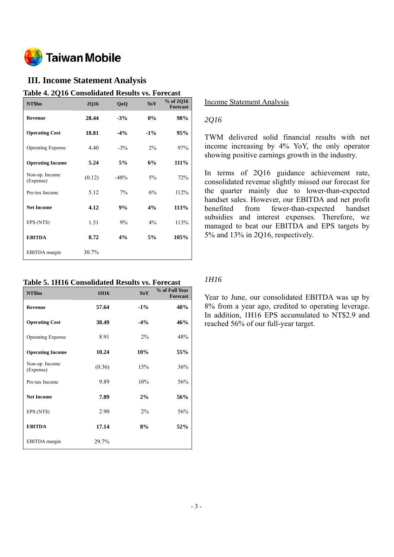

# **III. Income Statement Analysis**

**Table 4. 2Q16 Consolidated Results vs. Forecast** 

| NT\$bn                      | <b>2Q16</b> | QoQ    | <b>YoY</b> | % of 2Q16<br><b>Forecast</b> |
|-----------------------------|-------------|--------|------------|------------------------------|
| <b>Revenue</b>              | 28.44       | $-3%$  | $0\%$      | 98%                          |
| <b>Operating Cost</b>       | 18.81       | $-4%$  | $-1\%$     | 95%                          |
| <b>Operating Expense</b>    | 4.40        | $-3\%$ | $2\%$      | 97%                          |
| <b>Operating Income</b>     | 5.24        | 5%     | 6%         | 111%                         |
| Non-op. Income<br>(Expense) | (0.12)      | $-48%$ | $5\%$      | 72%                          |
| Pre-tax Income              | 5.12        | 7%     | 6%         | 112%                         |
| <b>Net Income</b>           | 4.12        | 9%     | 4%         | 113%                         |
| EPS (NT\$)                  | 1.51        | 9%     | $4\%$      | 113%                         |
| <b>EBITDA</b>               | 8.72        | 4%     | 5%         | 105%                         |
| EBITDA margin               | 30.7%       |        |            |                              |

# **Table 5. 1H16 Consolidated Results vs. Forecast**

| NT\$bn                      | 1H16   | YoY    | % of Full Year<br><b>Forecast</b> |
|-----------------------------|--------|--------|-----------------------------------|
| Revenue                     | 57.64  | $-1\%$ | 48%                               |
| <b>Operating Cost</b>       | 38.49  | $-4\%$ | 46%                               |
| <b>Operating Expense</b>    | 8.91   | $2\%$  | 48%                               |
| <b>Operating Income</b>     | 10.24  | 10%    | 55%                               |
| Non-op. Income<br>(Expense) | (0.36) | 15%    | 36%                               |
| Pre-tax Income              | 9.89   | 10%    | 56%                               |
| <b>Net Income</b>           | 7.89   | 2%     | 56%                               |
| EPS (NT\$)                  | 2.90   | $2\%$  | 56%                               |
| <b>EBITDA</b>               | 17.14  | 8%     | 52%                               |
| EBITDA margin               | 29.7%  |        |                                   |

### Income Statement Analysis

# *2Q16*

TWM delivered solid financial results with net income increasing by 4% YoY, the only operator showing positive earnings growth in the industry.

In terms of 2Q16 guidance achievement rate, consolidated revenue slightly missed our forecast for the quarter mainly due to lower-than-expected handset sales. However, our EBITDA and net profit benefited from fewer-than-expected handset subsidies and interest expenses. Therefore, we managed to beat our EBITDA and EPS targets by 5% and 13% in 2Q16, respectively.

# *1H16*

Year to June, our consolidated EBITDA was up by 8% from a year ago, credited to operating leverage. In addition, 1H16 EPS accumulated to NT\$2.9 and reached 56% of our full-year target.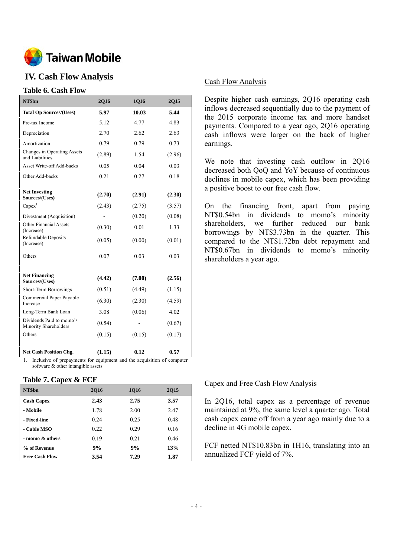

# **IV. Cash Flow Analysis**

### **Table 6. Cash Flow**

| NT\$bn                                            | 2Q16   | 1Q16   | 2Q15   |
|---------------------------------------------------|--------|--------|--------|
| <b>Total Op Sources/(Uses)</b>                    | 5.97   | 10.03  | 5.44   |
| Pre-tax Income                                    | 5.12   | 4.77   | 4.83   |
| Depreciation                                      | 2.70   | 2.62   | 2.63   |
| Amortization                                      | 0.79   | 0.79   | 0.73   |
| Changes in Operating Assets<br>and Liabilities    | (2.89) | 1.54   | (2.96) |
| <b>Asset Write-off Add-backs</b>                  | 0.05   | 0.04   | 0.03   |
| Other Add-backs                                   | 0.21   | 0.27   | 0.18   |
| <b>Net Investing</b><br>Sources/(Uses)            | (2.70) | (2.91) | (2.30) |
| $Capex$ <sup>1</sup>                              | (2.43) | (2.75) | (3.57) |
| Divestment (Acquisition)                          |        | (0.20) | (0.08) |
| <b>Other Financial Assets</b><br>(Increase)       | (0.30) | 0.01   | 1.33   |
| Refundable Deposits<br>(Increase)                 | (0.05) | (0.00) | (0.01) |
| Others                                            | 0.07   | 0.03   | 0.03   |
| <b>Net Financing</b><br>Sources/(Uses)            | (4.42) | (7.00) | (2.56) |
| Short-Term Borrowings                             | (0.51) | (4.49) | (1.15) |
| Commercial Paper Payable<br>Increase              | (6.30) | (2.30) | (4.59) |
| Long-Term Bank Loan                               | 3.08   | (0.06) | 4.02   |
| Dividends Paid to momo's<br>Minority Shareholders | (0.54) |        | (0.67) |
| Others                                            | (0.15) | (0.15) | (0.17) |
| <b>Net Cash Position Chg.</b>                     | (1.15) | 0.12   | 0.57   |

1. Inclusive of prepayments for equipment and the acquisition of computer software & other intangible assets

### **Table 7. Capex & FCF**

| NT\$bn                | 2016 | 1016 | 2015 |
|-----------------------|------|------|------|
| <b>Cash Capex</b>     | 2.43 | 2.75 | 3.57 |
| - Mobile              | 1.78 | 2.00 | 2.47 |
| - Fixed-line          | 0.24 | 0.25 | 0.48 |
| - Cable MSO           | 0.22 | 0.29 | 0.16 |
| - momo & others       | 0.19 | 0.21 | 0.46 |
| % of Revenue          | 9%   | 9%   | 13%  |
| <b>Free Cash Flow</b> | 3.54 | 7.29 | 1.87 |

### Cash Flow Analysis

Despite higher cash earnings, 2Q16 operating cash inflows decreased sequentially due to the payment of the 2015 corporate income tax and more handset payments. Compared to a year ago, 2Q16 operating cash inflows were larger on the back of higher earnings.

We note that investing cash outflow in 2Q16 decreased both QoQ and YoY because of continuous declines in mobile capex, which has been providing a positive boost to our free cash flow.

On the financing front, apart from paying NT\$0.54bn in dividends to momo's minority shareholders, we further reduced our bank borrowings by NT\$3.73bn in the quarter. This compared to the NT\$1.72bn debt repayment and NT\$0.67bn in dividends to momo's minority shareholders a year ago.

### Capex and Free Cash Flow Analysis

In 2Q16, total capex as a percentage of revenue maintained at 9%, the same level a quarter ago. Total cash capex came off from a year ago mainly due to a decline in 4G mobile capex.

FCF netted NT\$10.83bn in 1H16, translating into an annualized FCF yield of 7%.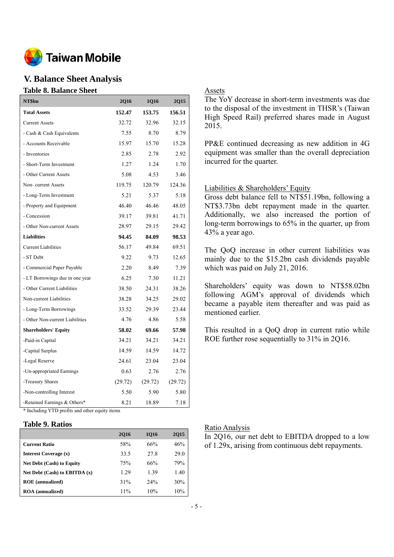

# **V. Balance Sheet Analysis**

#### **Table 8. Balance Sheet**

| NT\$bn                                         | <b>2Q16</b> | 1Q16    | <b>2Q15</b> |  |  |
|------------------------------------------------|-------------|---------|-------------|--|--|
| <b>Total Assets</b>                            | 152.47      | 153.75  | 156.51      |  |  |
| <b>Current Assets</b>                          | 32.72       | 32.96   | 32.15       |  |  |
| - Cash & Cash Equivalents                      | 7.55        | 8.70    | 8.79        |  |  |
| - Accounts Receivable                          | 15.97       | 15.70   | 15.28       |  |  |
| - Inventories                                  | 2.85        | 2.78    | 2.92        |  |  |
| - Short-Term Investment                        | 1.27        | 1.24    | 1.70        |  |  |
| - Other Current Assets                         | 5.08        | 4.53    | 3.46        |  |  |
| Non-current Assets                             | 119.75      | 120.79  | 124.36      |  |  |
| - Long-Term Investment                         | 5.21        | 5.37    | 5.18        |  |  |
| - Property and Equipment                       | 46.40       | 46.46   | 48.05       |  |  |
| - Concession                                   | 39.17       | 39.81   | 41.71       |  |  |
| - Other Non-current Assets                     | 28.97       | 29.15   | 29.42       |  |  |
| <b>Liabilities</b>                             | 94.45       | 84.09   | 98.53       |  |  |
| <b>Current Liabilities</b>                     | 56.17       | 49.84   | 69.51       |  |  |
| - ST Debt                                      | 9.22        | 9.73    | 12.65       |  |  |
| - Commercial Paper Payable                     | 2.20        | 8.49    | 7.39        |  |  |
| - LT Borrowings due in one year                | 6.25        | 7.30    | 11.21       |  |  |
| - Other Current Liabilities                    | 38.50       | 24.31   | 38.26       |  |  |
| Non-current Liabilities                        | 38.28       | 34.25   | 29.02       |  |  |
| - Long-Term Borrowings                         | 33.52       | 29.39   | 23.44       |  |  |
| - Other Non-current Liabilities                | 4.76        | 4.86    | 5.58        |  |  |
| <b>Shareholders' Equity</b>                    | 58.02       | 69.66   | 57.98       |  |  |
| -Paid-in Capital                               | 34.21       | 34.21   | 34.21       |  |  |
| -Capital Surplus                               | 14.59       | 14.59   | 14.72       |  |  |
| -Legal Reserve                                 | 24.61       | 23.04   | 23.04       |  |  |
| -Un-appropriated Earnings                      | 0.63        | 2.76    | 2.76        |  |  |
| -Treasury Shares                               | (29.72)     | (29.72) | (29.72)     |  |  |
| -Non-controlling Interest                      | 5.50        | 5.90    | 5.80        |  |  |
| -Retained Earnings & Others*                   | 8.21        | 18.89   | 7.18        |  |  |
| * Including YTD profits and other equity items |             |         |             |  |  |

### **Table 9. Ratios**

|                                   | <b>2Q16</b> | 1016 | 2015 |
|-----------------------------------|-------------|------|------|
| <b>Current Ratio</b>              | 58%         | 66%  | 46%  |
| <b>Interest Coverage (x)</b>      | 33.5        | 27.8 | 29.0 |
| <b>Net Debt (Cash) to Equity</b>  | 75%         | 66%  | 79%  |
| Net Debt $(Cash)$ to EBITDA $(x)$ | 1.29        | 1.39 | 1.40 |
| <b>ROE</b> (annualized)           | 31%         | 24%  | 30%  |
| <b>ROA</b> (annualized)           | 11%         | 10%  | 10%  |

### Assets

The YoY decrease in short-term investments was due to the disposal of the investment in THSR's (Taiwan High Speed Rail) preferred shares made in August 2015.

PP&E continued decreasing as new addition in 4G equipment was smaller than the overall depreciation incurred for the quarter.

### Liabilities & Shareholders' Equity

Gross debt balance fell to NT\$51.19bn, following a NT\$3.73bn debt repayment made in the quarter. Additionally, we also increased the portion of long-term borrowings to 65% in the quarter, up from 43% a year ago.

The QoQ increase in other current liabilities was mainly due to the \$15.2bn cash dividends payable which was paid on July 21, 2016.

Shareholders' equity was down to NT\$58.02bn following AGM's approval of dividends which became a payable item thereafter and was paid as mentioned earlier.

This resulted in a QoQ drop in current ratio while ROE further rose sequentially to 31% in 2Q16.

#### Ratio Analysis

In 2Q16, our net debt to EBITDA dropped to a low of 1.29x, arising from continuous debt repayments.